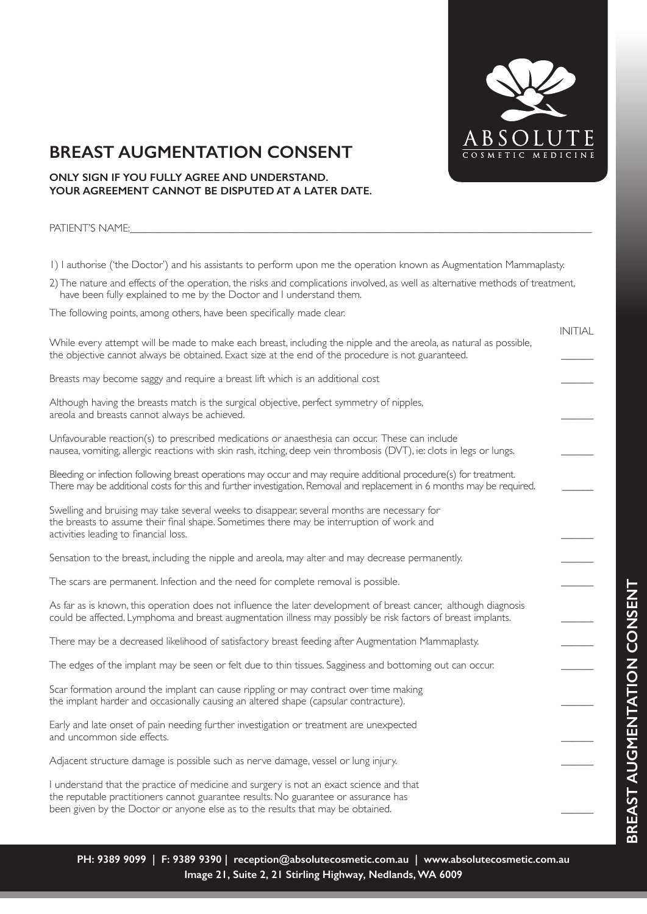

INITIAL

## **BREAST AUGMENTATION CONSENT**

### **ONLY SIGN IF YOU FULLY AGREE AND UNDERSTAND. YOUR AGREEMENT CANNOT BE DISPUTED AT A LATER DATE.**

PATIENT'S NAME:

1) I authorise ('the Doctor') and his assistants to perform upon me the operation known as Augmentation Mammaplasty.

2) The nature and effects of the operation, the risks and complications involved, as well as alternative methods of treatment, have been fully explained to me by the Doctor and I understand them.

The following points, among others, have been specifically made clear.

| While every attempt will be made to make each breast, including the nipple and the areola, as natural as possible,<br>the objective cannot always be obtained. Exact size at the end of the procedure is not guaranteed.                     | $I'$ is $I'$ if $H$ if $H$ |
|----------------------------------------------------------------------------------------------------------------------------------------------------------------------------------------------------------------------------------------------|----------------------------|
| Breasts may become saggy and require a breast lift which is an additional cost                                                                                                                                                               |                            |
| Although having the breasts match is the surgical objective, perfect symmetry of nipples,<br>areola and breasts cannot always be achieved.                                                                                                   |                            |
| Unfavourable reaction(s) to prescribed medications or anaesthesia can occur. These can include<br>nausea, vomiting, allergic reactions with skin rash, itching, deep vein thrombosis (DVT), ie: clots in legs or lungs.                      |                            |
| Bleeding or infection following breast operations may occur and may require additional procedure(s) for treatment.<br>There may be additional costs for this and further investigation. Removal and replacement in 6 months may be required. |                            |
| Swelling and bruising may take several weeks to disappear, several months are necessary for<br>the breasts to assume their final shape. Sometimes there may be interruption of work and<br>activities leading to financial loss.             |                            |
| Sensation to the breast, including the nipple and areola, may alter and may decrease permanently.                                                                                                                                            |                            |
| The scars are permanent. Infection and the need for complete removal is possible.                                                                                                                                                            |                            |
| As far as is known, this operation does not influence the later development of breast cancer, although diagnosis<br>could be affected. Lymphoma and breast augmentation illness may possibly be risk factors of breast implants.             |                            |
| There may be a decreased likelihood of satisfactory breast feeding after Augmentation Mammaplasty.                                                                                                                                           |                            |
| The edges of the implant may be seen or felt due to thin tissues. Sagginess and bottoming out can occur.                                                                                                                                     |                            |
| Scar formation around the implant can cause rippling or may contract over time making<br>the implant harder and occasionally causing an altered shape (capsular contracture).                                                                |                            |
| Early and late onset of pain needing further investigation or treatment are unexpected<br>and uncommon side effects.                                                                                                                         |                            |
| Adjacent structure damage is possible such as nerve damage, vessel or lung injury.                                                                                                                                                           |                            |

I understand that the practice of medicine and surgery is not an exact science and that the reputable practitioners cannot guarantee results. No guarantee or assurance has been given by the Doctor or anyone else as to the results that may be obtained.